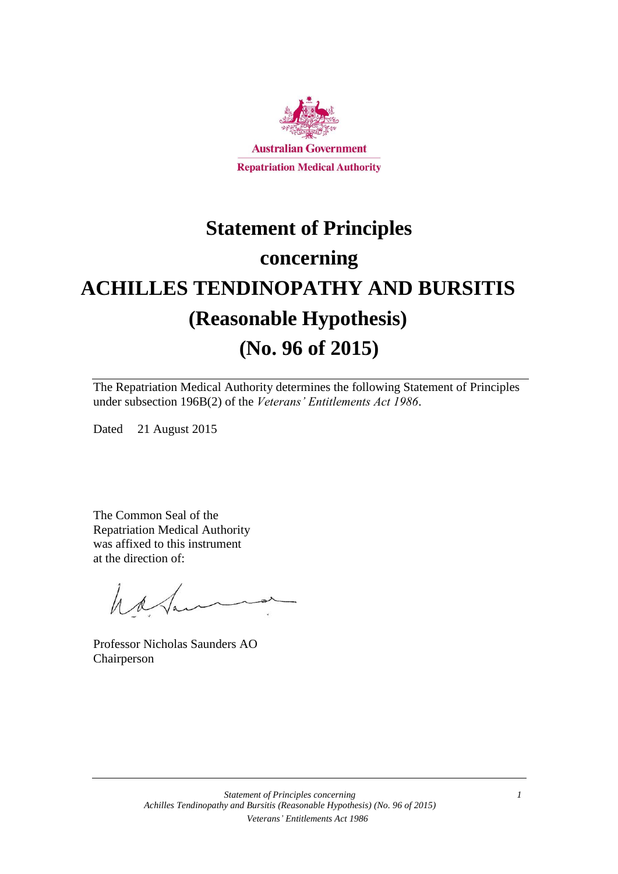

# **Statement of Principles concerning ACHILLES TENDINOPATHY AND BURSITIS (Reasonable Hypothesis) (No. 96 of 2015)**

The Repatriation Medical Authority determines the following Statement of Principles under subsection 196B(2) of the *Veterans' Entitlements Act 1986*.

Dated 21 August 2015

The Common Seal of the Repatriation Medical Authority was affixed to this instrument at the direction of:

have

Professor Nicholas Saunders AO Chairperson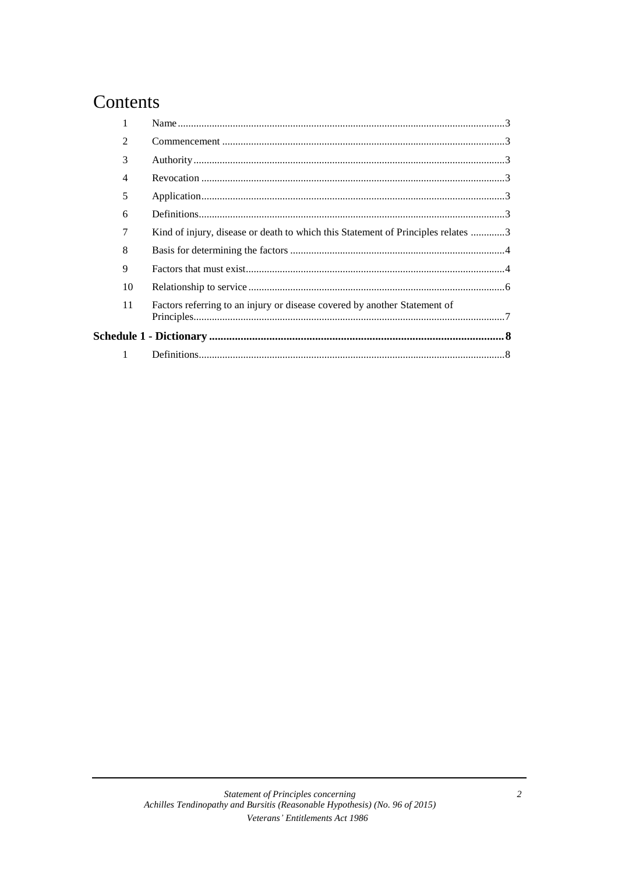### Contents

| $\mathfrak{D}$ |                                                                                  |  |  |  |  |  |
|----------------|----------------------------------------------------------------------------------|--|--|--|--|--|
| 3              |                                                                                  |  |  |  |  |  |
| 4              |                                                                                  |  |  |  |  |  |
| 5              |                                                                                  |  |  |  |  |  |
| 6              |                                                                                  |  |  |  |  |  |
| 7              | Kind of injury, disease or death to which this Statement of Principles relates 3 |  |  |  |  |  |
| 8              |                                                                                  |  |  |  |  |  |
| 9              |                                                                                  |  |  |  |  |  |
| 10             |                                                                                  |  |  |  |  |  |
| 11             | Factors referring to an injury or disease covered by another Statement of        |  |  |  |  |  |
|                |                                                                                  |  |  |  |  |  |
|                |                                                                                  |  |  |  |  |  |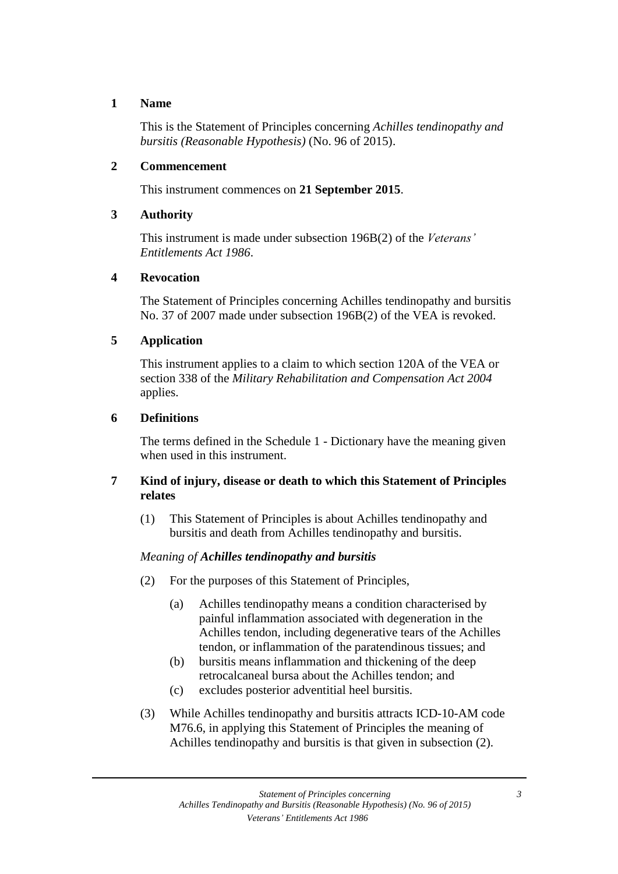#### **1 Name**

This is the Statement of Principles concerning *Achilles tendinopathy and bursitis (Reasonable Hypothesis)* (No. 96 of 2015).

#### **2 Commencement**

This instrument commences on **21 September 2015**.

#### **3 Authority**

This instrument is made under subsection 196B(2) of the *Veterans' Entitlements Act 1986*.

#### **4 Revocation**

The Statement of Principles concerning Achilles tendinopathy and bursitis No. 37 of 2007 made under subsection 196B(2) of the VEA is revoked.

#### **5 Application**

This instrument applies to a claim to which section 120A of the VEA or section 338 of the *Military Rehabilitation and Compensation Act 2004* applies.

#### **6 Definitions**

The terms defined in the Schedule 1 - Dictionary have the meaning given when used in this instrument.

#### **7 Kind of injury, disease or death to which this Statement of Principles relates**

(1) This Statement of Principles is about Achilles tendinopathy and bursitis and death from Achilles tendinopathy and bursitis.

#### *Meaning of Achilles tendinopathy and bursitis*

- (2) For the purposes of this Statement of Principles,
	- (a) Achilles tendinopathy means a condition characterised by painful inflammation associated with degeneration in the Achilles tendon, including degenerative tears of the Achilles tendon, or inflammation of the paratendinous tissues; and
	- (b) bursitis means inflammation and thickening of the deep retrocalcaneal bursa about the Achilles tendon; and
	- (c) excludes posterior adventitial heel bursitis.
- (3) While Achilles tendinopathy and bursitis attracts ICD-10-AM code M76.6, in applying this Statement of Principles the meaning of Achilles tendinopathy and bursitis is that given in subsection (2).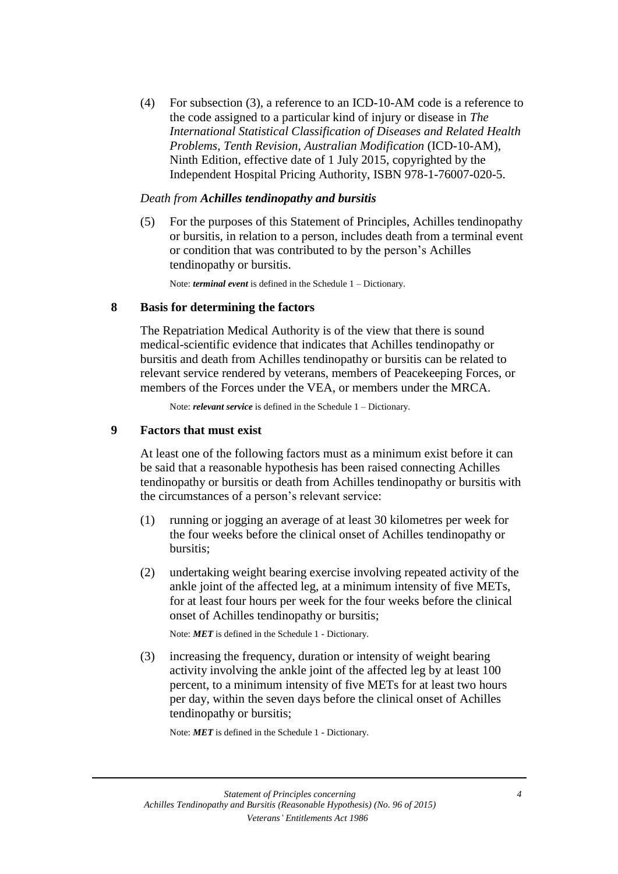(4) For subsection (3), a reference to an ICD-10-AM code is a reference to the code assigned to a particular kind of injury or disease in *The International Statistical Classification of Diseases and Related Health Problems*, *Tenth Revision, Australian Modification* (ICD-10-AM), Ninth Edition, effective date of 1 July 2015, copyrighted by the Independent Hospital Pricing Authority, ISBN 978-1-76007-020-5.

#### *Death from Achilles tendinopathy and bursitis*

(5) For the purposes of this Statement of Principles, Achilles tendinopathy or bursitis, in relation to a person, includes death from a terminal event or condition that was contributed to by the person's Achilles tendinopathy or bursitis.

Note: *terminal event* is defined in the Schedule 1 – Dictionary.

#### **8 Basis for determining the factors**

The Repatriation Medical Authority is of the view that there is sound medical-scientific evidence that indicates that Achilles tendinopathy or bursitis and death from Achilles tendinopathy or bursitis can be related to relevant service rendered by veterans, members of Peacekeeping Forces, or members of the Forces under the VEA, or members under the MRCA.

Note: *relevant service* is defined in the Schedule 1 – Dictionary.

#### **9 Factors that must exist**

At least one of the following factors must as a minimum exist before it can be said that a reasonable hypothesis has been raised connecting Achilles tendinopathy or bursitis or death from Achilles tendinopathy or bursitis with the circumstances of a person's relevant service:

- (1) running or jogging an average of at least 30 kilometres per week for the four weeks before the clinical onset of Achilles tendinopathy or bursitis;
- (2) undertaking weight bearing exercise involving repeated activity of the ankle joint of the affected leg, at a minimum intensity of five METs, for at least four hours per week for the four weeks before the clinical onset of Achilles tendinopathy or bursitis;

Note: *MET* is defined in the Schedule 1 - Dictionary.

(3) increasing the frequency, duration or intensity of weight bearing activity involving the ankle joint of the affected leg by at least 100 percent, to a minimum intensity of five METs for at least two hours per day, within the seven days before the clinical onset of Achilles tendinopathy or bursitis;

Note: *MET* is defined in the Schedule 1 - Dictionary.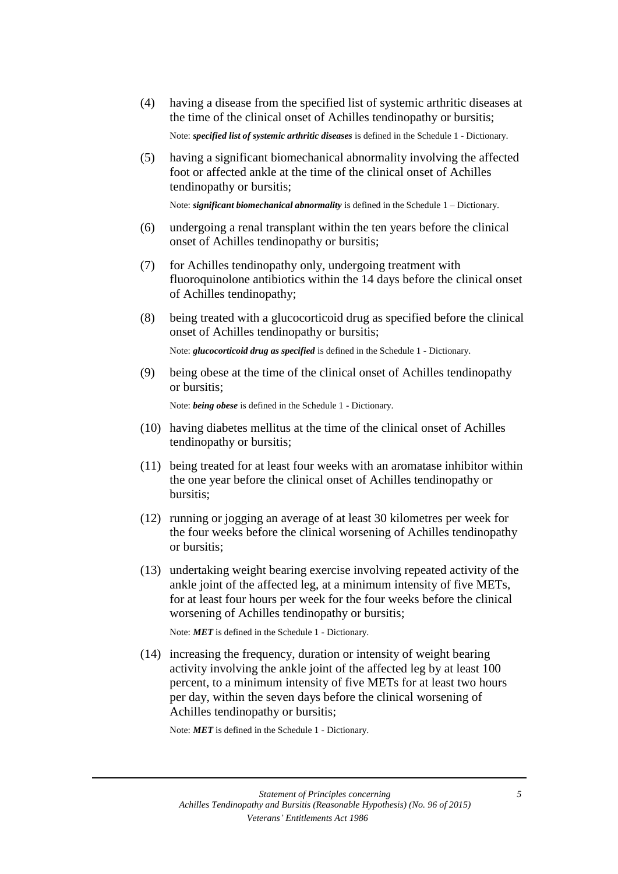(4) having a disease from the specified list of systemic arthritic diseases at the time of the clinical onset of Achilles tendinopathy or bursitis;

Note: *specified list of systemic arthritic diseases* is defined in the Schedule 1 - Dictionary.

(5) having a significant biomechanical abnormality involving the affected foot or affected ankle at the time of the clinical onset of Achilles tendinopathy or bursitis;

Note: *significant biomechanical abnormality* is defined in the Schedule 1 – Dictionary.

- (6) undergoing a renal transplant within the ten years before the clinical onset of Achilles tendinopathy or bursitis;
- (7) for Achilles tendinopathy only, undergoing treatment with fluoroquinolone antibiotics within the 14 days before the clinical onset of Achilles tendinopathy;
- (8) being treated with a glucocorticoid drug as specified before the clinical onset of Achilles tendinopathy or bursitis;

Note: *glucocorticoid drug as specified* is defined in the Schedule 1 - Dictionary.

(9) being obese at the time of the clinical onset of Achilles tendinopathy or bursitis;

Note: *being obese* is defined in the Schedule 1 - Dictionary.

- (10) having diabetes mellitus at the time of the clinical onset of Achilles tendinopathy or bursitis;
- (11) being treated for at least four weeks with an aromatase inhibitor within the one year before the clinical onset of Achilles tendinopathy or bursitis;
- (12) running or jogging an average of at least 30 kilometres per week for the four weeks before the clinical worsening of Achilles tendinopathy or bursitis;
- (13) undertaking weight bearing exercise involving repeated activity of the ankle joint of the affected leg, at a minimum intensity of five METs, for at least four hours per week for the four weeks before the clinical worsening of Achilles tendinopathy or bursitis;

Note: *MET* is defined in the Schedule 1 - Dictionary.

(14) increasing the frequency, duration or intensity of weight bearing activity involving the ankle joint of the affected leg by at least 100 percent, to a minimum intensity of five METs for at least two hours per day, within the seven days before the clinical worsening of Achilles tendinopathy or bursitis;

Note: *MET* is defined in the Schedule 1 - Dictionary.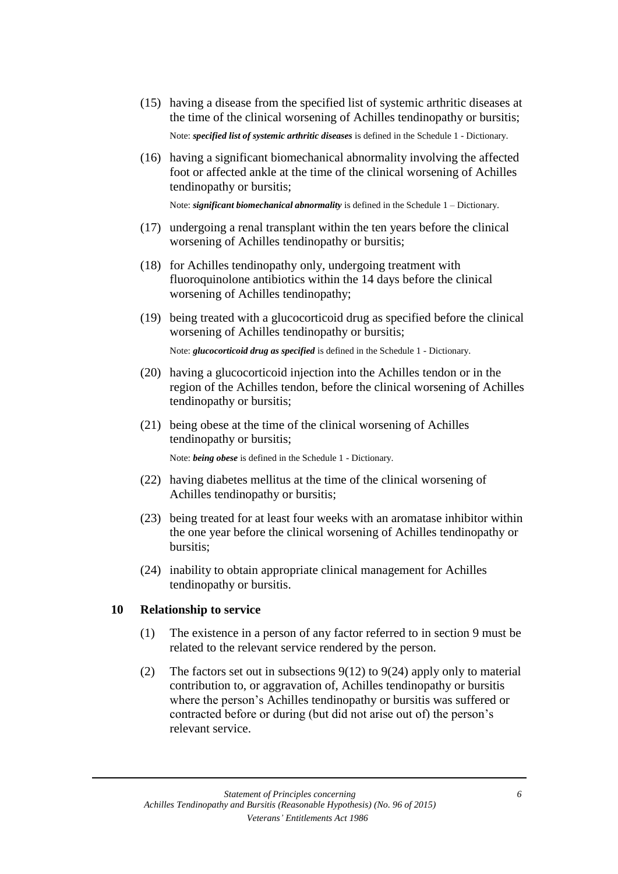- (15) having a disease from the specified list of systemic arthritic diseases at the time of the clinical worsening of Achilles tendinopathy or bursitis; Note: *specified list of systemic arthritic diseases* is defined in the Schedule 1 - Dictionary.
- (16) having a significant biomechanical abnormality involving the affected foot or affected ankle at the time of the clinical worsening of Achilles tendinopathy or bursitis;

Note: *significant biomechanical abnormality* is defined in the Schedule 1 – Dictionary.

- (17) undergoing a renal transplant within the ten years before the clinical worsening of Achilles tendinopathy or bursitis;
- (18) for Achilles tendinopathy only, undergoing treatment with fluoroquinolone antibiotics within the 14 days before the clinical worsening of Achilles tendinopathy;
- (19) being treated with a glucocorticoid drug as specified before the clinical worsening of Achilles tendinopathy or bursitis;

Note: *glucocorticoid drug as specified* is defined in the Schedule 1 - Dictionary.

- (20) having a glucocorticoid injection into the Achilles tendon or in the region of the Achilles tendon, before the clinical worsening of Achilles tendinopathy or bursitis;
- (21) being obese at the time of the clinical worsening of Achilles tendinopathy or bursitis;

Note: *being obese* is defined in the Schedule 1 - Dictionary.

- (22) having diabetes mellitus at the time of the clinical worsening of Achilles tendinopathy or bursitis;
- (23) being treated for at least four weeks with an aromatase inhibitor within the one year before the clinical worsening of Achilles tendinopathy or bursitis;
- (24) inability to obtain appropriate clinical management for Achilles tendinopathy or bursitis.

#### **10 Relationship to service**

- (1) The existence in a person of any factor referred to in section 9 must be related to the relevant service rendered by the person.
- (2) The factors set out in subsections  $9(12)$  to  $9(24)$  apply only to material contribution to, or aggravation of, Achilles tendinopathy or bursitis where the person's Achilles tendinopathy or bursitis was suffered or contracted before or during (but did not arise out of) the person's relevant service.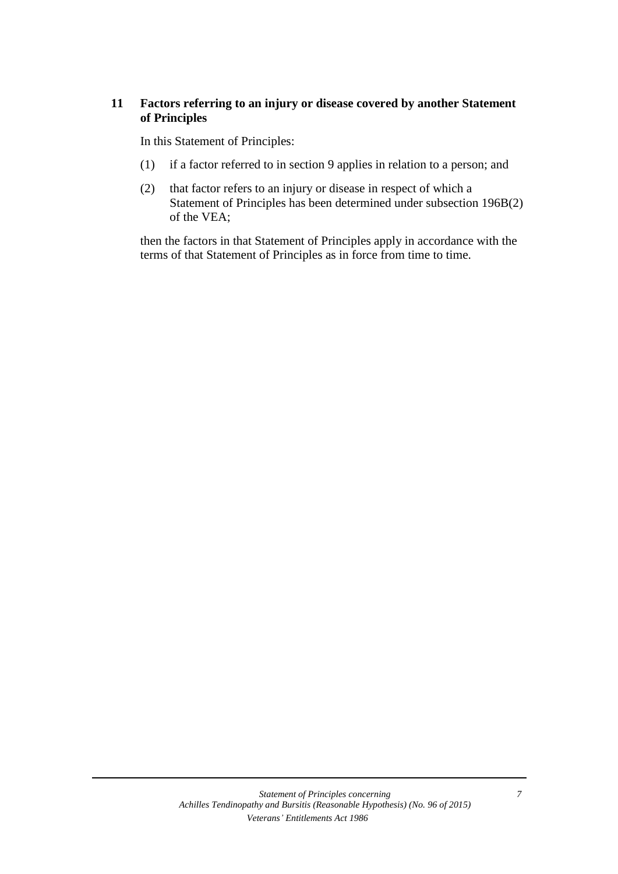#### **11 Factors referring to an injury or disease covered by another Statement of Principles**

In this Statement of Principles:

- (1) if a factor referred to in section 9 applies in relation to a person; and
- (2) that factor refers to an injury or disease in respect of which a Statement of Principles has been determined under subsection 196B(2) of the VEA;

then the factors in that Statement of Principles apply in accordance with the terms of that Statement of Principles as in force from time to time.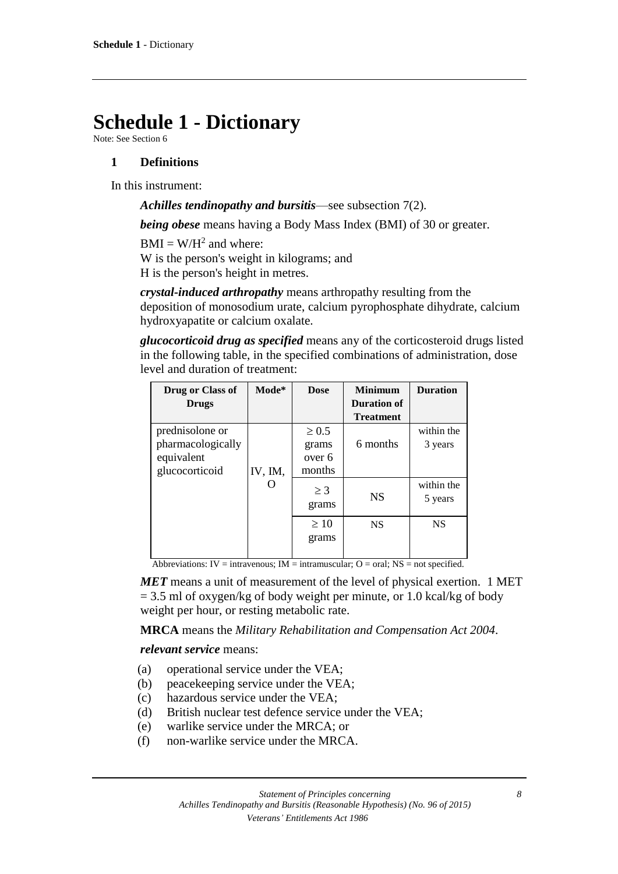## **Schedule 1 - Dictionary**

Note: See Section 6

#### **1 Definitions**

In this instrument:

*Achilles tendinopathy and bursitis*—see subsection 7(2).

*being obese* means having a Body Mass Index (BMI) of 30 or greater.

 $BMI = W/H<sup>2</sup>$  and where:

W is the person's weight in kilograms; and H is the person's height in metres.

*crystal-induced arthropathy* means arthropathy resulting from the deposition of monosodium urate, calcium pyrophosphate dihydrate, calcium hydroxyapatite or calcium oxalate.

*glucocorticoid drug as specified* means any of the corticosteroid drugs listed in the following table, in the specified combinations of administration, dose level and duration of treatment:

| Drug or Class of  | Mode*   | <b>Dose</b> | <b>Minimum</b>   | <b>Duration</b> |
|-------------------|---------|-------------|------------------|-----------------|
| <b>Drugs</b>      |         |             | Duration of      |                 |
|                   |         |             | <b>Treatment</b> |                 |
| prednisolone or   |         | $\geq 0.5$  |                  | within the      |
| pharmacologically |         | grams       | 6 months         | 3 years         |
| equivalent        |         | over 6      |                  |                 |
| glucocorticoid    | IV, IM, | months      |                  |                 |
|                   |         | $\geq$ 3    | <b>NS</b>        | within the      |
|                   |         | grams       |                  | 5 years         |
|                   |         |             |                  |                 |
|                   |         | $\geq 10$   | <b>NS</b>        | <b>NS</b>       |
|                   |         | grams       |                  |                 |
|                   |         |             |                  |                 |

Abbreviations: IV = intravenous; IM = intramuscular;  $O = \text{oral}$ ; NS = not specified.

*MET* means a unit of measurement of the level of physical exertion. 1 MET  $= 3.5$  ml of oxygen/kg of body weight per minute, or 1.0 kcal/kg of body weight per hour, or resting metabolic rate.

**MRCA** means the *Military Rehabilitation and Compensation Act 2004*.

*relevant service* means:

- (a) operational service under the VEA;
- (b) peacekeeping service under the VEA;
- (c) hazardous service under the VEA;
- (d) British nuclear test defence service under the VEA;
- (e) warlike service under the MRCA; or
- (f) non-warlike service under the MRCA.